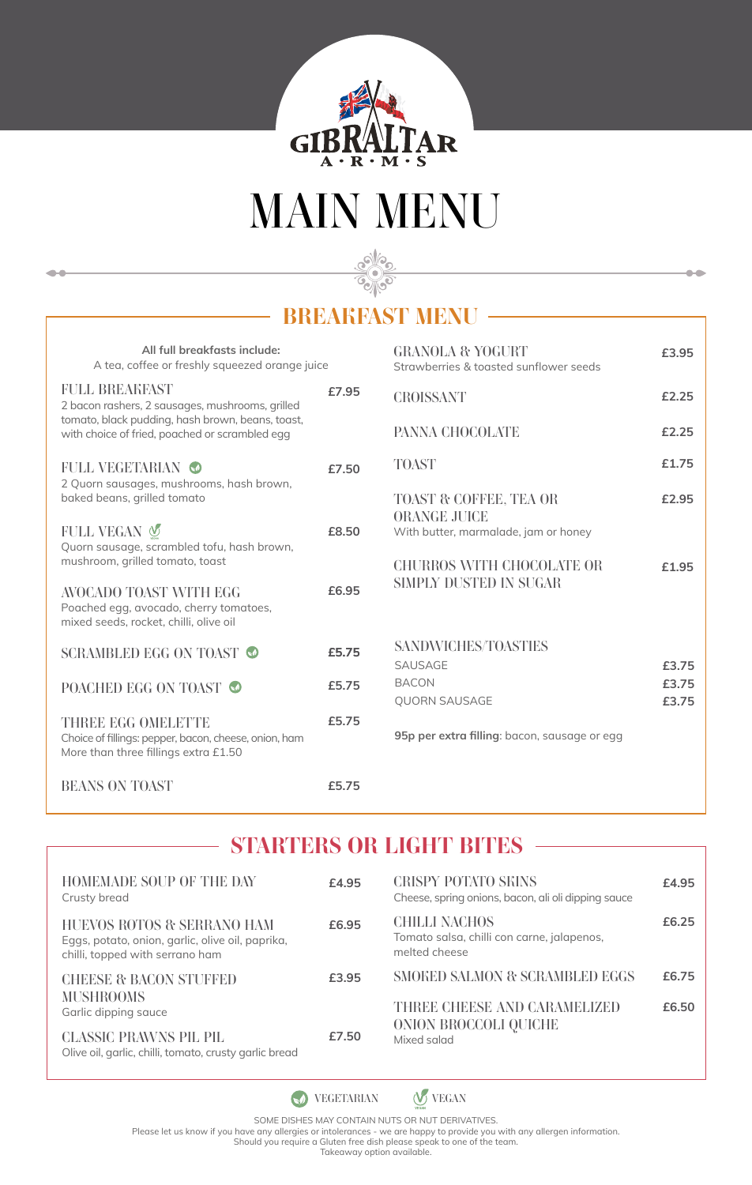

# *MAIN MENU*

**Sellio** 

# *BREAKFAST MENU*

| All full breakfasts include:<br>A tea, coffee or freshly squeezed orange juice                                             |       | <b>GRANOLA &amp; YOGURT</b><br>Strawberries & toasted sunflower seeds |  |
|----------------------------------------------------------------------------------------------------------------------------|-------|-----------------------------------------------------------------------|--|
| <b>FULL BREAKFAST</b><br>2 bacon rashers, 2 sausages, mushrooms, grilled                                                   | £7.95 | <b>CROISSANT</b>                                                      |  |
| tomato, black pudding, hash brown, beans, toast,<br>with choice of fried, poached or scrambled egg                         |       | PANNA CHOCOLATE                                                       |  |
| <b>FULL VEGETARIAN</b><br>2 Quorn sausages, mushrooms, hash brown,                                                         | £7.50 | <b>TOAST</b>                                                          |  |
| baked beans, grilled tomato                                                                                                |       | TOAST & COFFEE, TEA OR<br><b>ORANGE JUICE</b>                         |  |
| FULL VEGAN V<br>Quorn sausage, scrambled tofu, hash brown,                                                                 | £8.50 | With butter, marmalade, jam or honey                                  |  |
| mushroom, grilled tomato, toast                                                                                            |       | <b>CHURROS WITH CHOCOLATE OR</b><br>SIMPLY DUSTED IN SUGAR            |  |
| AVOCADO TOAST WITH EGG<br>Poached egg, avocado, cherry tomatoes,<br>mixed seeds, rocket, chilli, olive oil                 | £6.95 |                                                                       |  |
| SCRAMBLED EGG ON TOAST                                                                                                     | £5.75 | <b>SANDWICHES/TOASTIES</b><br>SAUSAGE                                 |  |
| POACHED EGG ON TOAST                                                                                                       | £5.75 | <b>BACON</b><br><b>QUORN SAUSAGE</b>                                  |  |
| <b>THREE EGG OMELETTE</b><br>Choice of fillings: pepper, bacon, cheese, onion, ham<br>More than three fillings extra £1.50 | £5.75 | 95p per extra filling: bacon, sausage or                              |  |
| BEANS ON TOAST                                                                                                             | £5.75 |                                                                       |  |

 $\bullet\bullet$ 

| CROISSANT                                                                      | £2.25 |
|--------------------------------------------------------------------------------|-------|
| PANNA CHOCOLATE                                                                | £2.25 |
| <b>TOAST</b>                                                                   | £1.75 |
| TOAST & COFFEE, TEA OR<br>ORANGE JUICE<br>With butter, marmalade, jam or honey | £2.95 |
| CHURROS WITH CHOCOLATE OR<br>SIMPLY DUSTED IN SUGAR                            | £1.95 |
| <b>SANDWICHES/TOASTIES</b>                                                     |       |
| <b>SAUSAGE</b>                                                                 | £3.75 |
| <b>BACON</b>                                                                   | £3.75 |
| <b>QUORN SAUSAGE</b>                                                           | £3.75 |
| 95p per extra filling: bacon, sausage or egg                                   |       |

**£3.95**

 $\bullet$ 

# *STARTERS OR LIGHT BITES*

| <b>HOMEMADE SOUP OF THE DAY</b><br>Crusty bread                                                                   | £4.95 | <b>CRISPY POTATO SEINS</b><br>Cheese, spring onions, bacon, ali oli dipping sauce   | £4.95 |
|-------------------------------------------------------------------------------------------------------------------|-------|-------------------------------------------------------------------------------------|-------|
| HUEVOS ROTOS & SERRANO HAM<br>Eggs, potato, onion, garlic, olive oil, paprika,<br>chilli, topped with serrano ham | £6.95 | <b>CHILLI NACHOS</b><br>Tomato salsa, chilli con carne, jalapenos,<br>melted cheese | £6.25 |
| <b>CHEESE &amp; BACON STUFFED</b>                                                                                 | £3.95 | <b>SMOKED SALMON &amp; SCRAMBLED EGGS</b>                                           | £6.75 |
| <b>MUSHROOMS</b><br>Garlic dipping sauce                                                                          |       | THREE CHEESE AND CARAMELIZED                                                        | £6.50 |
| <b>CLASSIC PRAWNS PIL PIL</b><br>Olive oil, garlic, chilli, tomato, crusty garlic bread                           | £7.50 | ONION BROCCOLI OUICHE<br>Mixed salad                                                |       |

*VEGETARIAN VEGAN*

SOME DISHES MAY CONTAIN NUTS OR NUT DERIVATIVES.<br>Please let us know if you have any allergies or intolerances - we are happy to provide you with any allergen information.<br>Should you require a Gluten free dish please speak

Takeaway option available.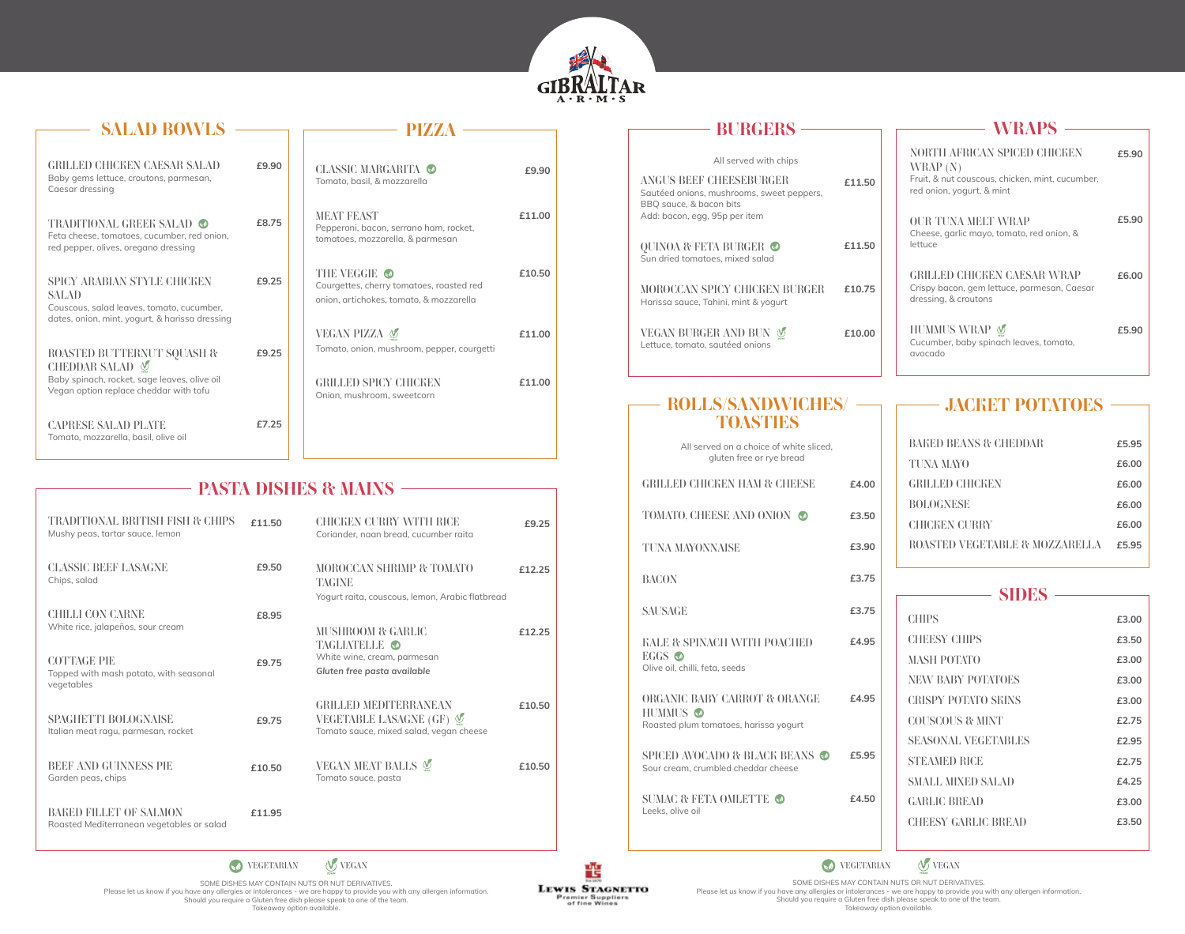

| <b>SALAD BOWLS</b>                                                                                                                            |       |                                                                                                                                               |
|-----------------------------------------------------------------------------------------------------------------------------------------------|-------|-----------------------------------------------------------------------------------------------------------------------------------------------|
| GRILLED CHICKEN CAESAR SALAD<br>Baby gems lettuce, croutons, parmesan,<br>Caesar dressing                                                     | £9.90 | CLASSIC MARGARITA<br>£9.90<br>Tomato, basil, & mozzarella                                                                                     |
| <b>TRADITIONAL GREEK SALAD</b> ●<br>Feta cheese, tomatoes, cucumber, red onion,<br>red pepper, olives, oregano dressing                       | £8.75 | <b>MEAT FEAST</b><br>£11.00<br>Pepperoni, bacon, serrano ham, rocket,<br>tomatoes, mozzarella, & parmesan                                     |
| SPICY ARABIAN STYLE CHICKEN<br><b>SALAD</b><br>Couscous, salad leaves, tomato, cucumber,<br>dates, onion, mint, yogurt, & harissa dressing    | £9.25 | <b>THE VEGGIE ⊙</b><br>£10.50<br>Courgettes, cherry tomatoes, roasted red<br>onion, artichokes, tomato, & mozzarella                          |
| ROASTED BUTTERNUT SQUASH &<br>CHEDDAR SALAD <b></b><br>Baby spinach, rocket, sage leaves, olive oil<br>Vegan option replace cheddar with tofu | £9.25 | VEGAN PIZZA V<br>£11.00<br>Tomato, onion, mushroom, pepper, courgetti<br><b>GRILLED SPICY CHICKEN</b><br>f11.00<br>Onion, mushroom, sweetcorn |
| <b>CAPRESE SALAD PLATE</b><br>Tomato, mozzarella, basil, olive oil                                                                            | £7.25 |                                                                                                                                               |

# *PASTA DISHES & MAINS*

| TRADITIONAL BRITISH FISH & CHIPS<br>Mushy peas, tartar sauce, lemon        | £11.50 | CHICKEN CURRY WITH RICE<br>Coriander, naan bread, cucumber raita                                    | £9.25  |  |
|----------------------------------------------------------------------------|--------|-----------------------------------------------------------------------------------------------------|--------|--|
| <b>CLASSIC BEEF LASAGNE</b><br>Chips, salad                                | £9.50  | <b>MOROCCAN SHRIMP &amp; TOMATO</b><br>TAGINE<br>Yogurt raita, couscous, lemon, Arabic flatbread    | £12.25 |  |
| <b>CHILLI CON CARNE</b><br>White rice, jalapeños, sour cream               | £8.95  | MUSHROOM & GARLIC<br>TAGLIATELLE O                                                                  | £12.25 |  |
| <b>COTTAGE PIE</b><br>Topped with mash potato, with seasonal<br>vegetables | £9.75  | White wine, cream, parmesan<br>Gluten free pasta available                                          |        |  |
| <b>SPAGHETTI BOLOGNAISE</b><br>Italian meat ragu, parmesan, rocket         | £9.75  | <b>GRILLED MEDITERRANEAN</b><br>VEGETABLE LASAGNE (GF) V<br>Tomato sauce, mixed salad, vegan cheese | £10.50 |  |
| <b>BEEF AND GUINNESS PIE</b><br>Garden peas, chips                         | £10.50 | VEGAN MEAT BALLS<br>Tomato sauce, pasta                                                             | £10.50 |  |
| BAKED FILLET OF SALMON<br>Roasted Mediterranean vegetables or salad        | £11.95 |                                                                                                     |        |  |

| <b>BURGERS</b>                                                                                                           |        | <b>WRAPS</b>                                                                                                             |       |
|--------------------------------------------------------------------------------------------------------------------------|--------|--------------------------------------------------------------------------------------------------------------------------|-------|
| All served with chips<br>ANGUS BEEF CHEESEBURGER<br>Sautéed onions, mushrooms, sweet peppers,<br>BBQ sauce, & bacon bits | £11.50 | NORTH AFRICAN SPICED CHICKEN<br>WRAP (N)<br>Fruit, & nut couscous, chicken, mint, cucumber,<br>red onion, yogurt, & mint | £5.90 |
| Add: bacon, egg, 95p per item<br>QUINOA & FETA BURGER ●<br>Sun dried tomatoes, mixed salad                               | £11.50 | <b>OUR TUNA MELT WRAP</b><br>Cheese, garlic mayo, tomato, red onion, &<br>lettuce                                        | £5.90 |
| MOROCCAN SPICY CHICKEN BURGER<br>Harissa sauce, Tahini, mint & yogurt                                                    | £10.75 | <b>GRILLED CHICKEN CAESAR WRAP</b><br>Crispy bacon, gem lettuce, parmesan, Caesar<br>dressing, & croutons                | £6.00 |
| VEGAN BURGER AND BUN<br>Lettuce, tomato, sautéed onions                                                                  | £10.00 | HUMMUS WRAP<br>Cucumber, baby spinach leaves, tomato,<br>avocado                                                         | £5.90 |

| — ROLLS/SANDWICHES/<br><b>TOASTIES</b>                              |       |
|---------------------------------------------------------------------|-------|
| All served on a choice of white sliced.<br>gluten free or rye bread |       |
| GRILLED CHICKEN HAM & CHEESE                                        | £4.00 |
|                                                                     |       |

#### *TOMATO, CHEESE AND ONION TUNA MAYONNAISE BACON SAUSAGE KALE & SPINACH WITH POACHED EGGS*  Olive oil, chilli, feta, seeds *ORGANIC BABY CARROT & ORANGE HUMMUS*  Roasted plum tomatoes, harissa yogurt *SPICED AVOCADO & BLACK BEANS*  Sour cream, crumbled cheddar cheese *SUMAC & FETA OMLETTE*  **£3.50 £3.90 £3.75 £3.75 £4.95 £4.95 £5.95 £4.50**

# *BAKED BEANS & CHEDDAR*  **£5.95**

*JACKET POTATOES*

| TUNA MAYO                      | £6.00 |
|--------------------------------|-------|
| <b>GRILLED CHICKEN</b>         | £6.00 |
| <b>BOLOGNESE</b>               | £6.00 |
| <b>CHICKEN CURRY</b>           | £6.00 |
| ROASTED VEGETABLE & MOZZARELLA | £5.95 |

| <b>SIDES</b>               |       |  |
|----------------------------|-------|--|
| <b>CHIPS</b>               | £3.00 |  |
| <b>CHEESY CHIPS</b>        | £3.50 |  |
| <b>MASH POTATO</b>         | £3.00 |  |
| <b>NEW BABY POTATOES</b>   | £3.00 |  |
| <b>CRISPY POTATO SEINS</b> | £3.00 |  |
| COUSCOUS & MINT            | £2.75 |  |
| <b>SEASONAL VEGETABLES</b> | £2.95 |  |
| <b>STEAMED RICE</b>        | £2.75 |  |
| <b>SMALL MIXED SALAD</b>   | £4.25 |  |
| <b>GARLIC BREAD</b>        | £3.00 |  |
| <b>CHEESY GARLIC BREAD</b> | £3.50 |  |
|                            |       |  |

*VEGETARIAN VEGAN*

SOME DISHES MAY CONTAIN NUTS OR NUT DERIVATIVES. Please let us know if you have any allergies or intolerances - we are happy to provide you with any allergen information. Should you require a Gluten free dish please speak to one of the team. Takeaway option available.

韹 **LEWIS STAGNETTO** Premier Suppliers<br>of fine Wines

Leeks, olive oil

*VEGETARIAN VEGAN*

SOME DISHES MAY CONTAIN NUTS OR NUT DERIVATIVES.<br>Please let us know if you have any allergies or intolerances - we are happy to provide you with any allergen information.<br>Should you require a Gluten free dish please speak